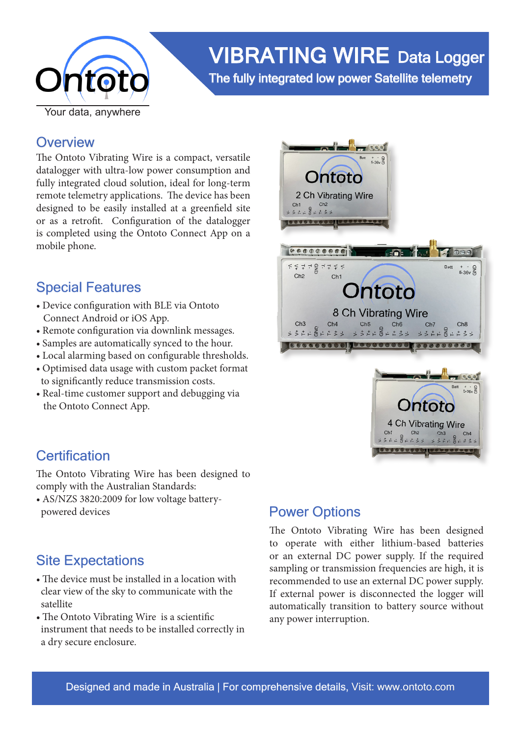

# VIBRATING WIRE Data Logger

The fully integrated low power Satellite telemetry

### **Overview**

The Ontoto Vibrating Wire is a compact, versatile datalogger with ultra-low power consumption and fully integrated cloud solution, ideal for long-term remote telemetry applications. The device has been designed to be easily installed at a greenfield site or as a retrofit. Configuration of the datalogger is completed using the Ontoto Connect App on a mobile phone.

### Special Features

- Device configuration with BLE via Ontoto Connect Android or iOS App.
- Remote configuration via downlink messages.
- Samples are automatically synced to the hour.
- Local alarming based on configurable thresholds.
- Optimised data usage with custom packet format to significantly reduce transmission costs.
- Real-time customer support and debugging via the Ontoto Connect App.



### **Certification**

The Ontoto Vibrating Wire has been designed to comply with the Australian Standards:

• AS/NZS 3820:2009 for low voltage battery powered devices

### Site Expectations

- The device must be installed in a location with clear view of the sky to communicate with the satellite
- The Ontoto Vibrating Wire is a scientific instrument that needs to be installed correctly in a dry secure enclosure.

# Power Options

The Ontoto Vibrating Wire has been designed to operate with either lithium-based batteries or an external DC power supply. If the required sampling or transmission frequencies are high, it is recommended to use an external DC power supply. If external power is disconnected the logger will automatically transition to battery source without any power interruption.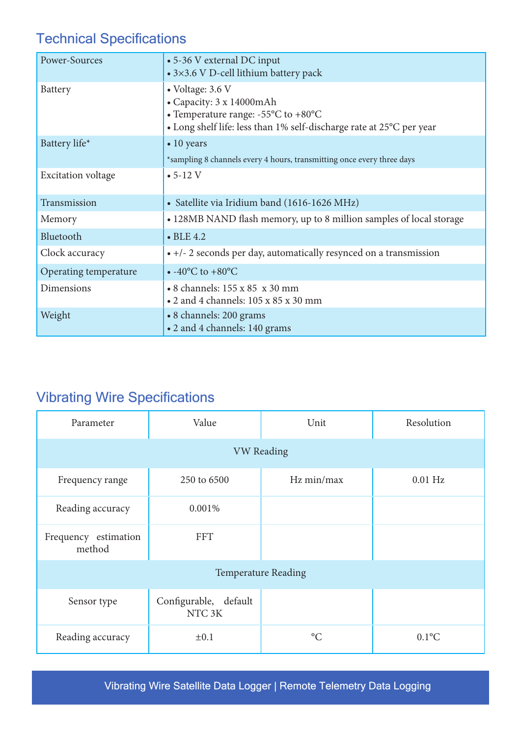# Technical Specifications

| Power-Sources             | • 5-36 V external DC input<br>• 3×3.6 V D-cell lithium battery pack                                                                                                             |  |  |
|---------------------------|---------------------------------------------------------------------------------------------------------------------------------------------------------------------------------|--|--|
| Battery                   | • Voltage: 3.6 V<br>• Capacity: 3 x 14000mAh<br>• Temperature range: $-55^{\circ}$ C to $+80^{\circ}$ C<br>• Long shelf life: less than 1% self-discharge rate at 25°C per year |  |  |
| Battery life*             | $\bullet$ 10 years<br>*sampling 8 channels every 4 hours, transmitting once every three days                                                                                    |  |  |
| <b>Excitation voltage</b> | $• 5-12 V$                                                                                                                                                                      |  |  |
| Transmission              | • Satellite via Iridium band (1616-1626 MHz)                                                                                                                                    |  |  |
| Memory                    | • 128MB NAND flash memory, up to 8 million samples of local storage                                                                                                             |  |  |
| Bluetooth                 | $\bullet$ BLE 4.2                                                                                                                                                               |  |  |
| Clock accuracy            | $\bullet$ +/- 2 seconds per day, automatically resynced on a transmission                                                                                                       |  |  |
| Operating temperature     | $\bullet$ -40°C to +80°C                                                                                                                                                        |  |  |
| Dimensions                | • 8 channels: 155 x 85 x 30 mm<br>• 2 and 4 channels: 105 x 85 x 30 mm                                                                                                          |  |  |
| Weight                    | • 8 channels: 200 grams<br>• 2 and 4 channels: 140 grams                                                                                                                        |  |  |

# Vibrating Wire Specifications

| Parameter                      | Value                                       | Unit            | Resolution |  |
|--------------------------------|---------------------------------------------|-----------------|------------|--|
| <b>VW Reading</b>              |                                             |                 |            |  |
| Frequency range                | 250 to 6500                                 | Hz min/max      | $0.01$ Hz  |  |
| Reading accuracy               | 0.001%                                      |                 |            |  |
| Frequency estimation<br>method | <b>FFT</b>                                  |                 |            |  |
| <b>Temperature Reading</b>     |                                             |                 |            |  |
| Sensor type                    | Configurable, default<br>NTC <sub>3</sub> K |                 |            |  |
| Reading accuracy               | $\pm 0.1$                                   | $\rm ^{\circ}C$ | $0.1$ °C   |  |

Vibrating Wire Satellite Data Logger | Remote Telemetry Data Logging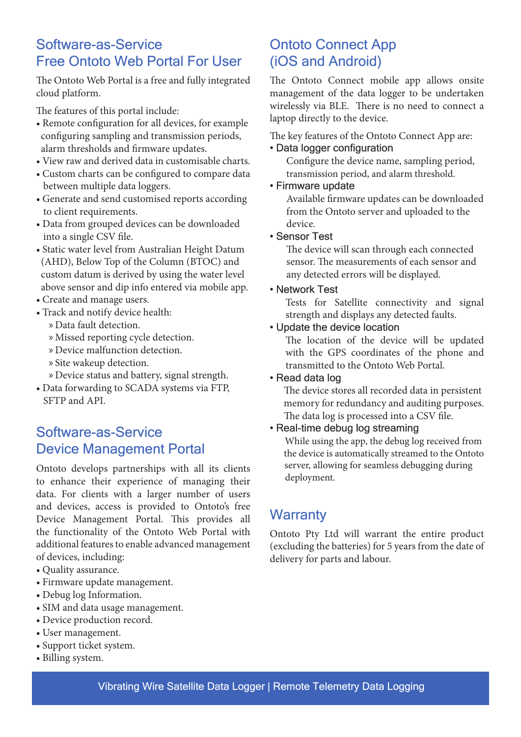### Software-as-Service Free Ontoto Web Portal For User

The Ontoto Web Portal is a free and fully integrated cloud platform.

The features of this portal include:

- Remote configuration for all devices, for example configuring sampling and transmission periods, alarm thresholds and firmware updates.
- View raw and derived data in customisable charts.
- Custom charts can be configured to compare data between multiple data loggers.
- Generate and send customised reports according to client requirements.
- Data from grouped devices can be downloaded into a single CSV file.
- Static water level from Australian Height Datum (AHD), Below Top of the Column (BTOC) and custom datum is derived by using the water level above sensor and dip info entered via mobile app.
- Create and manage users.
- Track and notify device health:
	- » Data fault detection.
	- » Missed reporting cycle detection.
	- » Device malfunction detection.
	- » Site wakeup detection.
	- » Device status and battery, signal strength.
- Data forwarding to SCADA systems via FTP, SFTP and API.

### Software-as-Service Device Management Portal

Ontoto develops partnerships with all its clients to enhance their experience of managing their data. For clients with a larger number of users and devices, access is provided to Ontoto's free Device Management Portal. This provides all the functionality of the Ontoto Web Portal with additional features to enable advanced management of devices, including:

- Quality assurance.
- Firmware update management.
- Debug log Information.
- SIM and data usage management.
- Device production record.
- User management.
- Support ticket system.
- Billing system.

### Ontoto Connect App (iOS and Android)

The Ontoto Connect mobile app allows onsite management of the data logger to be undertaken wirelessly via BLE. There is no need to connect a laptop directly to the device.

The key features of the Ontoto Connect App are:

#### • Data logger configuration

 Configure the device name, sampling period, transmission period, and alarm threshold.

#### • Firmware update

 Available firmware updates can be downloaded from the Ontoto server and uploaded to the device.

#### • Sensor Test

 The device will scan through each connected sensor. The measurements of each sensor and any detected errors will be displayed.

#### • Network Test

Tests for Satellite connectivity and signal strength and displays any detected faults.

#### • Update the device location

The location of the device will be updated with the GPS coordinates of the phone and transmitted to the Ontoto Web Portal.

#### • Read data log

 The device stores all recorded data in persistent memory for redundancy and auditing purposes. The data log is processed into a CSV file.

#### • Real-time debug log streaming

 While using the app, the debug log received from the device is automatically streamed to the Ontoto server, allowing for seamless debugging during deployment.

### **Warranty**

Ontoto Pty Ltd will warrant the entire product (excluding the batteries) for 5 years from the date of delivery for parts and labour.